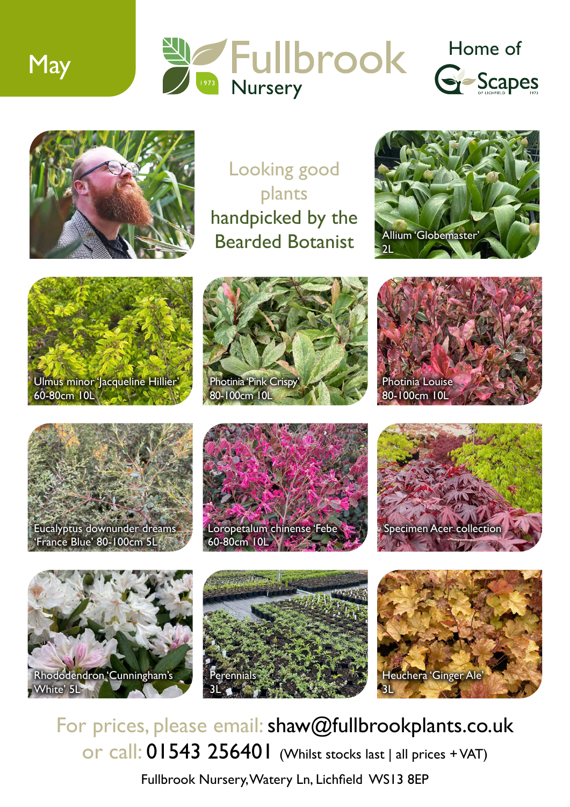



Looking good plants handpicked by the Bearded Botanist



















For prices, please email: shaw@fullbrookplants.co.uk or call: 01543 256401 (Whilst stocks last | all prices + VAT)

Fullbrook Nursery, Watery Ln, Lichfield WS13 8EP